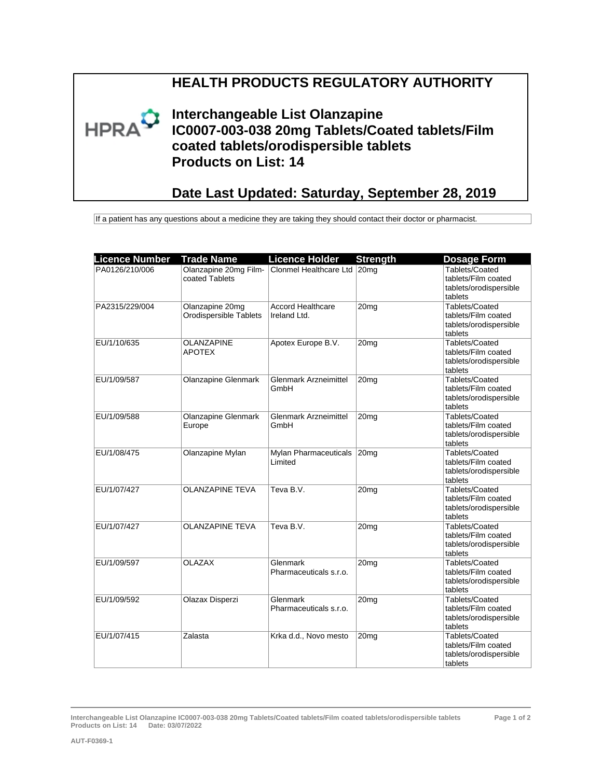## **HEALTH PRODUCTS REGULATORY AUTHORITY**



**Interchangeable List Olanzapine IC0007-003-038 20mg Tablets/Coated tablets/Film coated tablets/orodispersible tablets Products on List: 14**

## **Date Last Updated: Saturday, September 28, 2019**

If a patient has any questions about a medicine they are taking they should contact their doctor or pharmacist.

| <b>Licence Number</b> | <b>Trade Name</b>                         | <b>Licence Holder</b>                             | <b>Strength</b>  | <b>Dosage Form</b>                                                         |
|-----------------------|-------------------------------------------|---------------------------------------------------|------------------|----------------------------------------------------------------------------|
| PA0126/210/006        | coated Tablets                            | Olanzapine 20mg Film- Clonmel Healthcare Ltd 20mg |                  | Tablets/Coated<br>tablets/Film coated<br>tablets/orodispersible<br>tablets |
| PA2315/229/004        | Olanzapine 20mg<br>Orodispersible Tablets | <b>Accord Healthcare</b><br>Ireland Ltd.          | 20 <sub>mg</sub> | Tablets/Coated<br>tablets/Film coated<br>tablets/orodispersible<br>tablets |
| EU/1/10/635           | OLANZAPINE<br><b>APOTEX</b>               | Apotex Europe B.V.                                | 20 <sub>mg</sub> | Tablets/Coated<br>tablets/Film coated<br>tablets/orodispersible<br>tablets |
| EU/1/09/587           | <b>Olanzapine Glenmark</b>                | <b>Glenmark Arzneimittel</b><br>GmbH              | 20 <sub>mq</sub> | Tablets/Coated<br>tablets/Film coated<br>tablets/orodispersible<br>tablets |
| EU/1/09/588           | Olanzapine Glenmark<br>Europe             | <b>Glenmark Arzneimittel</b><br>GmbH              | 20mg             | Tablets/Coated<br>tablets/Film coated<br>tablets/orodispersible<br>tablets |
| EU/1/08/475           | Olanzapine Mylan                          | Mylan Pharmaceuticals<br>Limited                  | 20 <sub>mg</sub> | Tablets/Coated<br>tablets/Film coated<br>tablets/orodispersible<br>tablets |
| EU/1/07/427           | <b>OLANZAPINE TEVA</b>                    | Teva B.V.                                         | 20 <sub>mg</sub> | Tablets/Coated<br>tablets/Film coated<br>tablets/orodispersible<br>tablets |
| EU/1/07/427           | <b>OLANZAPINE TEVA</b>                    | Teva B.V.                                         | 20 <sub>mg</sub> | Tablets/Coated<br>tablets/Film coated<br>tablets/orodispersible<br>tablets |
| EU/1/09/597           | <b>OLAZAX</b>                             | Glenmark<br>Pharmaceuticals s.r.o.                | 20 <sub>mq</sub> | Tablets/Coated<br>tablets/Film coated<br>tablets/orodispersible<br>tablets |
| EU/1/09/592           | Olazax Disperzi                           | Glenmark<br>Pharmaceuticals s.r.o.                | 20mg             | Tablets/Coated<br>tablets/Film coated<br>tablets/orodispersible<br>tablets |
| EU/1/07/415           | Zalasta                                   | Krka d.d., Novo mesto                             | 20 <sub>mg</sub> | Tablets/Coated<br>tablets/Film coated<br>tablets/orodispersible<br>tablets |

**Interchangeable List Olanzapine IC0007-003-038 20mg Tablets/Coated tablets/Film coated tablets/orodispersible tablets Products on List: 14 Date: 03/07/2022**